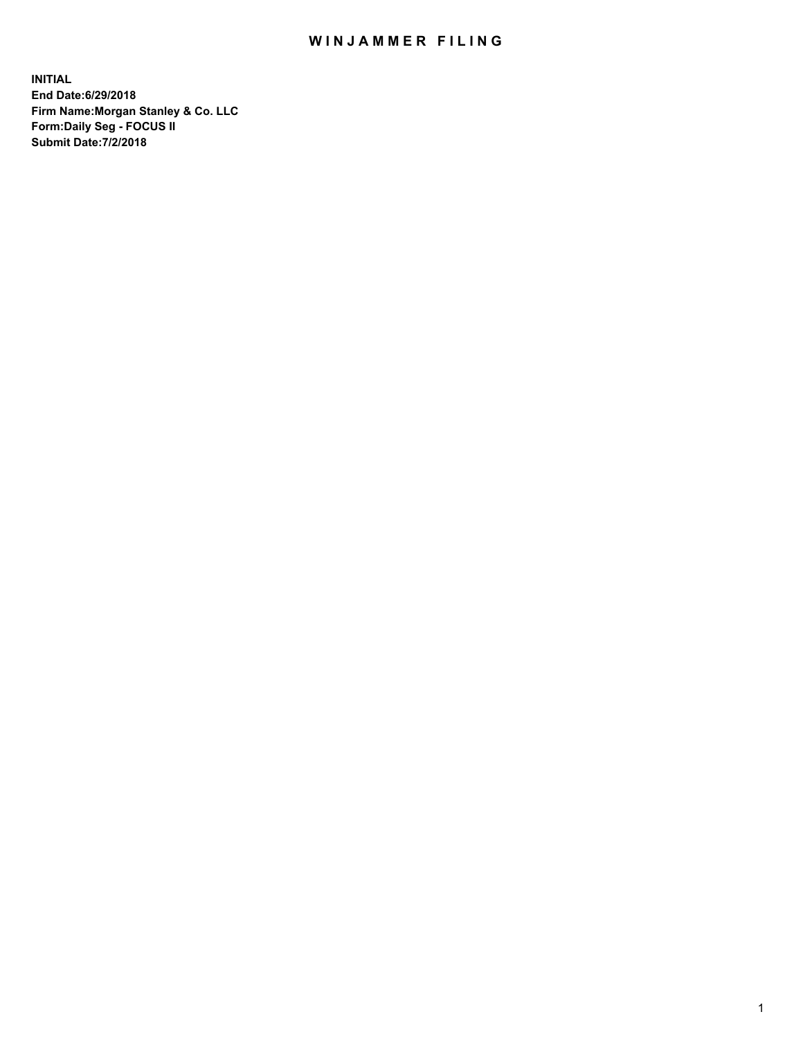## WIN JAMMER FILING

**INITIAL End Date:6/29/2018 Firm Name:Morgan Stanley & Co. LLC Form:Daily Seg - FOCUS II Submit Date:7/2/2018**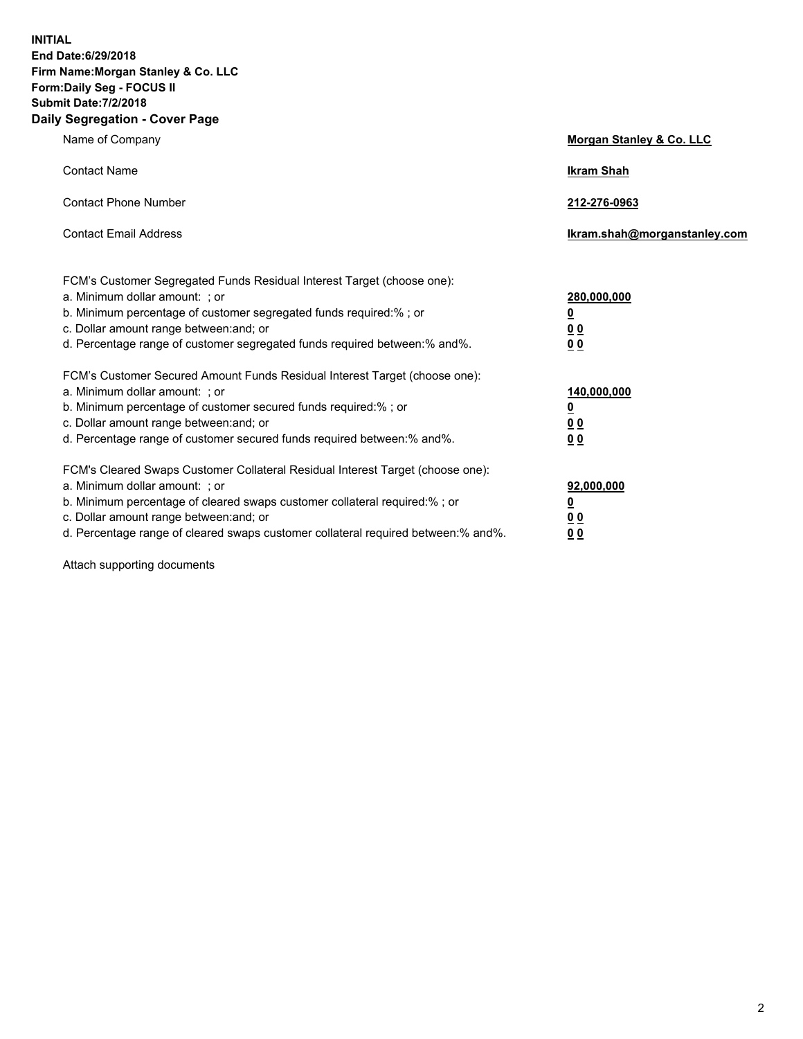**INITIAL End Date:6/29/2018 Firm Name:Morgan Stanley & Co. LLC Form:Daily Seg - FOCUS II Submit Date:7/2/2018 Daily Segregation - Cover Page**

| Name of Company                                                                                                                                                                                                                                                                                                                | <b>Morgan Stanley &amp; Co. LLC</b>                    |
|--------------------------------------------------------------------------------------------------------------------------------------------------------------------------------------------------------------------------------------------------------------------------------------------------------------------------------|--------------------------------------------------------|
| <b>Contact Name</b>                                                                                                                                                                                                                                                                                                            | <b>Ikram Shah</b>                                      |
| <b>Contact Phone Number</b>                                                                                                                                                                                                                                                                                                    | 212-276-0963                                           |
| <b>Contact Email Address</b>                                                                                                                                                                                                                                                                                                   | Ikram.shah@morganstanley.com                           |
| FCM's Customer Segregated Funds Residual Interest Target (choose one):<br>a. Minimum dollar amount: ; or<br>b. Minimum percentage of customer segregated funds required:%; or<br>c. Dollar amount range between: and; or<br>d. Percentage range of customer segregated funds required between:% and%.                          | 280,000,000<br><u>0</u><br><u>00</u><br>0 Q            |
| FCM's Customer Secured Amount Funds Residual Interest Target (choose one):<br>a. Minimum dollar amount: ; or<br>b. Minimum percentage of customer secured funds required:%; or<br>c. Dollar amount range between: and; or<br>d. Percentage range of customer secured funds required between:% and%.                            | 140,000,000<br><u>0</u><br><u>00</u><br>0 <sub>0</sub> |
| FCM's Cleared Swaps Customer Collateral Residual Interest Target (choose one):<br>a. Minimum dollar amount: ; or<br>b. Minimum percentage of cleared swaps customer collateral required:% ; or<br>c. Dollar amount range between: and; or<br>d. Percentage range of cleared swaps customer collateral required between:% and%. | 92,000,000<br><u>0</u><br>00<br>0 <sup>0</sup>         |

Attach supporting documents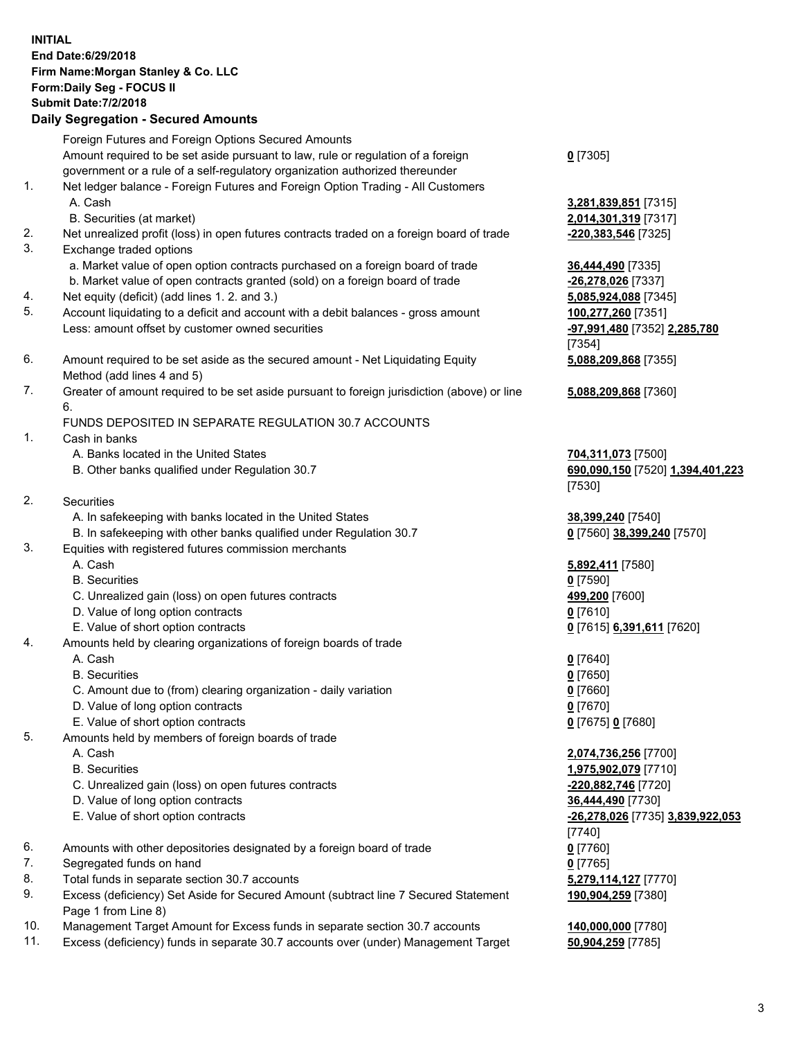| <b>INITIAL</b> | End Date: 6/29/2018<br>Firm Name: Morgan Stanley & Co. LLC<br>Form: Daily Seg - FOCUS II<br><b>Submit Date: 7/2/2018</b><br><b>Daily Segregation - Secured Amounts</b> |                                                 |
|----------------|------------------------------------------------------------------------------------------------------------------------------------------------------------------------|-------------------------------------------------|
|                | Foreign Futures and Foreign Options Secured Amounts                                                                                                                    |                                                 |
|                | Amount required to be set aside pursuant to law, rule or regulation of a foreign                                                                                       | $0$ [7305]                                      |
| 1.             | government or a rule of a self-regulatory organization authorized thereunder<br>Net ledger balance - Foreign Futures and Foreign Option Trading - All Customers        |                                                 |
|                | A. Cash                                                                                                                                                                | 3,281,839,851 [7315]                            |
|                | B. Securities (at market)                                                                                                                                              | 2,014,301,319 [7317]                            |
| 2.             | Net unrealized profit (loss) in open futures contracts traded on a foreign board of trade                                                                              | -220,383,546 [7325]                             |
| 3.             | Exchange traded options                                                                                                                                                |                                                 |
|                | a. Market value of open option contracts purchased on a foreign board of trade                                                                                         | 36,444,490 [7335]                               |
| 4.             | b. Market value of open contracts granted (sold) on a foreign board of trade<br>Net equity (deficit) (add lines 1.2. and 3.)                                           | -26,278,026 [7337]<br>5,085,924,088 [7345]      |
| 5.             | Account liquidating to a deficit and account with a debit balances - gross amount                                                                                      | 100,277,260 [7351]                              |
|                | Less: amount offset by customer owned securities                                                                                                                       | -97,991,480 [7352] 2,285,780<br>[7354]          |
| 6.             | Amount required to be set aside as the secured amount - Net Liquidating Equity                                                                                         | 5,088,209,868 [7355]                            |
|                | Method (add lines 4 and 5)                                                                                                                                             |                                                 |
| 7.             | Greater of amount required to be set aside pursuant to foreign jurisdiction (above) or line                                                                            | 5,088,209,868 [7360]                            |
|                | 6.<br>FUNDS DEPOSITED IN SEPARATE REGULATION 30.7 ACCOUNTS                                                                                                             |                                                 |
| 1.             | Cash in banks                                                                                                                                                          |                                                 |
|                | A. Banks located in the United States                                                                                                                                  | 704,311,073 [7500]                              |
|                | B. Other banks qualified under Regulation 30.7                                                                                                                         | 690,090,150 [7520] 1,394,401,223                |
|                |                                                                                                                                                                        | [7530]                                          |
| 2.             | Securities                                                                                                                                                             |                                                 |
|                | A. In safekeeping with banks located in the United States                                                                                                              | 38,399,240 [7540]                               |
| 3.             | B. In safekeeping with other banks qualified under Regulation 30.7<br>Equities with registered futures commission merchants                                            | 0 [7560] 38,399,240 [7570]                      |
|                | A. Cash                                                                                                                                                                | 5,892,411 [7580]                                |
|                | <b>B.</b> Securities                                                                                                                                                   | $0$ [7590]                                      |
|                | C. Unrealized gain (loss) on open futures contracts                                                                                                                    | 499,200 [7600]                                  |
|                | D. Value of long option contracts                                                                                                                                      | $0$ [7610]                                      |
|                | E. Value of short option contracts                                                                                                                                     | 0 <sup>[7615]</sup> 6,391,611 <sup>[7620]</sup> |
| 4.             | Amounts held by clearing organizations of foreign boards of trade                                                                                                      |                                                 |
|                | A. Cash                                                                                                                                                                | $0$ [7640]                                      |
|                | <b>B.</b> Securities<br>C. Amount due to (from) clearing organization - daily variation                                                                                | $0$ [7650]<br>$0$ [7660]                        |
|                | D. Value of long option contracts                                                                                                                                      | $0$ [7670]                                      |
|                | E. Value of short option contracts                                                                                                                                     | 0 [7675] 0 [7680]                               |
| 5.             | Amounts held by members of foreign boards of trade                                                                                                                     |                                                 |
|                | A. Cash                                                                                                                                                                | 2,074,736,256 [7700]                            |
|                | <b>B.</b> Securities                                                                                                                                                   | 1,975,902,079 [7710]                            |
|                | C. Unrealized gain (loss) on open futures contracts                                                                                                                    | -220,882,746 [7720]                             |
|                | D. Value of long option contracts<br>E. Value of short option contracts                                                                                                | 36,444,490 [7730]                               |
|                |                                                                                                                                                                        | -26,278,026 [7735] 3,839,922,053<br>[7740]      |
| 6.             | Amounts with other depositories designated by a foreign board of trade                                                                                                 | $0$ [7760]                                      |
| 7.             | Segregated funds on hand                                                                                                                                               | $0$ [7765]                                      |
| 8.             | Total funds in separate section 30.7 accounts                                                                                                                          | 5,279,114,127 [7770]                            |
| 9.             | Excess (deficiency) Set Aside for Secured Amount (subtract line 7 Secured Statement<br>Page 1 from Line 8)                                                             | 190,904,259 [7380]                              |

- 10. Management Target Amount for Excess funds in separate section 30.7 accounts **140,000,000** [7780]
- 11. Excess (deficiency) funds in separate 30.7 accounts over (under) Management Target **50,904,259** [7785]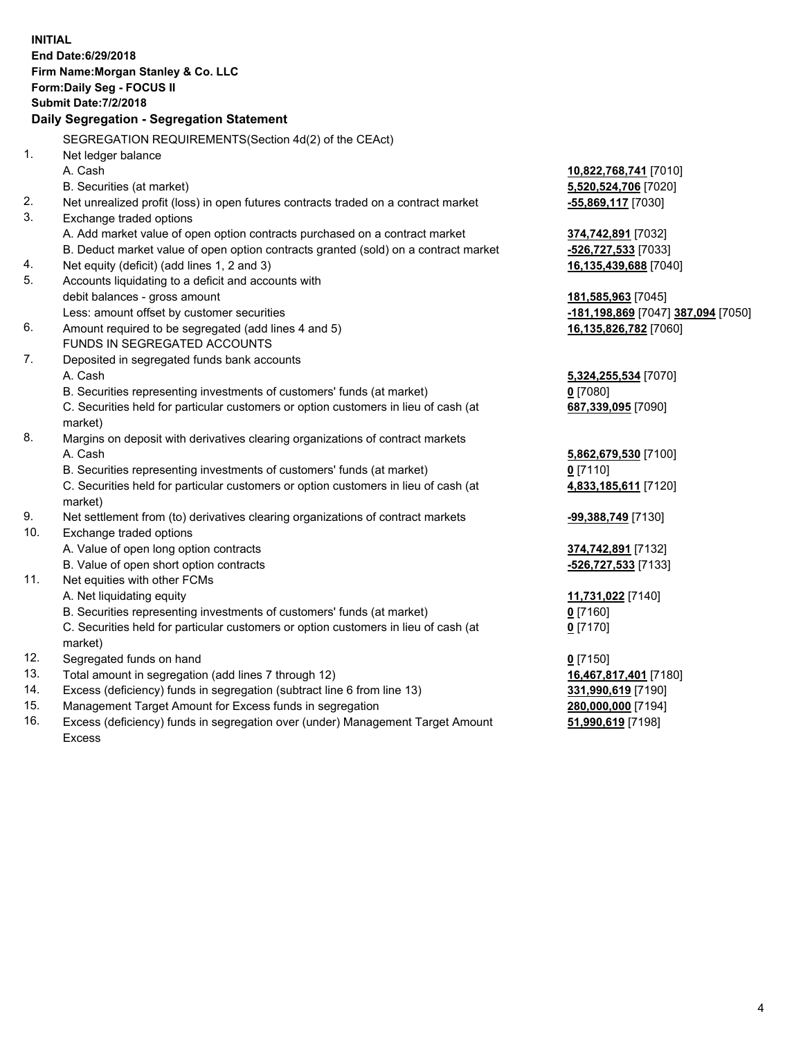|     | <b>INITIAL</b>                                                                                 |                                                 |
|-----|------------------------------------------------------------------------------------------------|-------------------------------------------------|
|     | End Date: 6/29/2018                                                                            |                                                 |
|     | Firm Name: Morgan Stanley & Co. LLC                                                            |                                                 |
|     | Form: Daily Seg - FOCUS II                                                                     |                                                 |
|     | <b>Submit Date: 7/2/2018</b>                                                                   |                                                 |
|     | Daily Segregation - Segregation Statement                                                      |                                                 |
|     | SEGREGATION REQUIREMENTS(Section 4d(2) of the CEAct)                                           |                                                 |
| 1.  | Net ledger balance                                                                             |                                                 |
|     | A. Cash                                                                                        | 10,822,768,741 [7010]                           |
|     | B. Securities (at market)                                                                      | 5,520,524,706 [7020]                            |
| 2.  | Net unrealized profit (loss) in open futures contracts traded on a contract market             | -55,869,117 [7030]                              |
| 3.  | Exchange traded options                                                                        |                                                 |
|     | A. Add market value of open option contracts purchased on a contract market                    | 374,742,891 [7032]                              |
|     | B. Deduct market value of open option contracts granted (sold) on a contract market            | -526,727,533 [7033]                             |
| 4.  | Net equity (deficit) (add lines 1, 2 and 3)                                                    | 16,135,439,688 [7040]                           |
| 5.  | Accounts liquidating to a deficit and accounts with                                            |                                                 |
|     | debit balances - gross amount                                                                  | 181,585,963 [7045]                              |
|     | Less: amount offset by customer securities                                                     | <mark>-181,198,869</mark> [7047] 387,094 [7050] |
| 6.  | Amount required to be segregated (add lines 4 and 5)                                           | 16,135,826,782 [7060]                           |
|     | FUNDS IN SEGREGATED ACCOUNTS                                                                   |                                                 |
| 7.  | Deposited in segregated funds bank accounts                                                    |                                                 |
|     | A. Cash                                                                                        | 5,324,255,534 [7070]                            |
|     | B. Securities representing investments of customers' funds (at market)                         | $0$ [7080]                                      |
|     | C. Securities held for particular customers or option customers in lieu of cash (at            | 687,339,095 [7090]                              |
|     | market)                                                                                        |                                                 |
| 8.  | Margins on deposit with derivatives clearing organizations of contract markets                 |                                                 |
|     | A. Cash                                                                                        | 5,862,679,530 [7100]                            |
|     | B. Securities representing investments of customers' funds (at market)                         | $0$ [7110]                                      |
|     | C. Securities held for particular customers or option customers in lieu of cash (at<br>market) | 4,833,185,611 [7120]                            |
| 9.  | Net settlement from (to) derivatives clearing organizations of contract markets                | -99,388,749 [7130]                              |
| 10. | Exchange traded options                                                                        |                                                 |
|     | A. Value of open long option contracts                                                         | 374,742,891 [7132]                              |
|     | B. Value of open short option contracts                                                        | -526,727,533 [7133]                             |
| 11. | Net equities with other FCMs                                                                   |                                                 |
|     | A. Net liquidating equity                                                                      | 11,731,022 [7140]                               |
|     | B. Securities representing investments of customers' funds (at market)                         | $0$ [7160]                                      |
|     | C. Securities held for particular customers or option customers in lieu of cash (at            | $0$ [7170]                                      |
|     | market)                                                                                        |                                                 |
| 12. | Segregated funds on hand                                                                       | $0$ [7150]                                      |
| 13. | Total amount in segregation (add lines 7 through 12)                                           | 16,467,817,401 [7180]                           |
| 14. | Excess (deficiency) funds in segregation (subtract line 6 from line 13)                        | 331,990,619 [7190]                              |
| 15. | Management Target Amount for Excess funds in segregation                                       | 280,000,000 [7194]                              |
| 16. | Excess (deficiency) funds in segregation over (under) Management Target Amount                 | 51,990,619 [7198]                               |

16. Excess (deficiency) funds in segregation over (under) Management Target Amount Excess